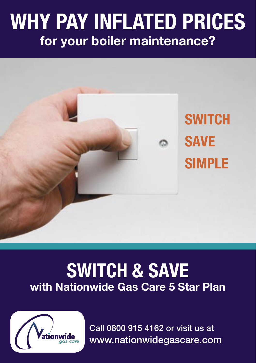# WHY PAY INFLATED PRICES for your boiler maintenance?



## SWITCH & SAVE with Nationwide Gas Care 5 Star Plan



Call 0800 915 4162 or visit us at www.nationwidegascare.com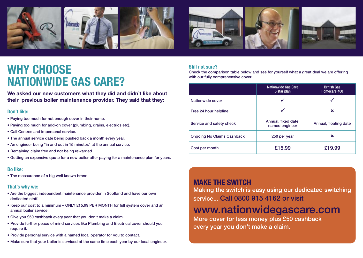



## WHY CHOOSE **NATIONWIDE GAS CARE?**

We asked our new customers what they did and didn't like about their previous boiler maintenance provider. They said that they:

### Don't like:

- Paying too much for not enough cover in their home.
- Paying too much for add-on cover (plumbing, drains, electrics etc).
- Call Centres and impersonal service.
- The annual service date being pushed back a month every year.
- An engineer being "in and out in 15 minutes" at the annual service.
- Remaining claim free and not being rewarded.
- Getting an expensive quote for a new boiler after paying for a maintenance plan for years.

### Do like:

• The reassurance of a big well known brand.

### That's why we:

- Are the biggest independent maintenance provider in Scotland and have our own dedicated staff.
- Keep our cost to a minimum ONLY £15.99 PER MONTH for full system cover and an annual boiler service.
- Give you £50 cashback every year that you don't make a claim.
- Provide further peace of mind services like Plumbing and Electrical cover should you require it.
- Provide personal service with a named local operator for you to contact.
- Make sure that your boiler is serviced at the same time each year by our local engineer.

### Still not sure?

Check the comparison table below and see for yourself what a great deal we are offering with our fully comprehensive cover.

|                                   | <b>Nationwide Gas Care</b><br>5 star plan | <b>British Gas</b><br>Homecare 400 |
|-----------------------------------|-------------------------------------------|------------------------------------|
| Nationwide cover                  |                                           |                                    |
| Free 24 hour helpline             |                                           | ×                                  |
| Service and safety check          | Annual, fixed date,<br>named engineer     | Annual, floating date              |
| <b>Ongoing No Claims Cashback</b> | £50 per year                              | ×                                  |
| Cost per month                    | £15.99                                    | £19.99                             |

### MAKE THE SWITCH

Making the switch is easy using our dedicated switching service... Call 0800 915 4162 or visit

## www.nationwidegascare.com

More cover for less money plus £50 cashback every year you don't make a claim.